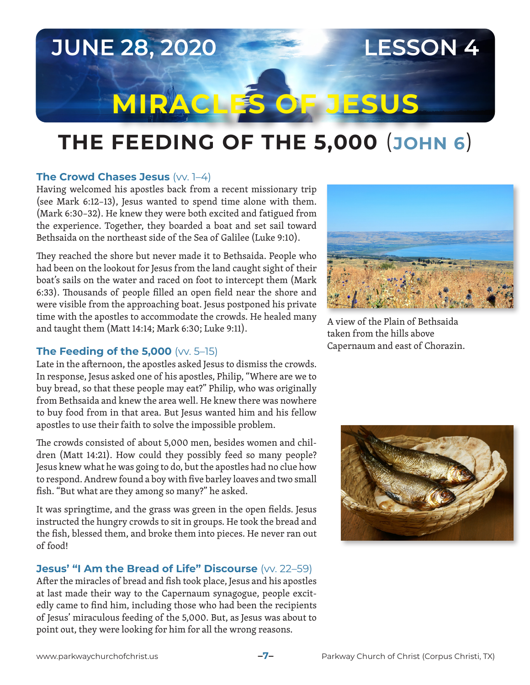# **JUNE 28, 2020 LESSON 4**

# **MIRACLES OF JESUS**

# **THE FEEDING OF THE 5,000** (**JOHN 6**)

#### **The Crowd Chases Jesus (VV. 1–4)**

Having welcomed his apostles back from a recent missionary trip (see Mark 6:12–13), Jesus wanted to spend time alone with them. (Mark 6:30–32). He knew they were both excited and fatigued from the experience. Together, they boarded a boat and set sail toward Bethsaida on the northeast side of the Sea of Galilee (Luke 9:10).

They reached the shore but never made it to Bethsaida. People who had been on the lookout for Jesus from the land caught sight of their boat's sails on the water and raced on foot to intercept them (Mark 6:33). Thousands of people filled an open field near the shore and were visible from the approaching boat. Jesus postponed his private time with the apostles to accommodate the crowds. He healed many and taught them (Matt 14:14; Mark 6:30; Luke 9:11).

### **The Feeding of the 5,000** (vv. 5–15)

Late in the afternoon, the apostles asked Jesus to dismiss the crowds. In response, Jesus asked one of his apostles, Philip, "Where are we to buy bread, so that these people may eat?" Philip, who was originally from Bethsaida and knew the area well. He knew there was nowhere to buy food from in that area. But Jesus wanted him and his fellow apostles to use their faith to solve the impossible problem.

The crowds consisted of about 5,000 men, besides women and children (Matt 14:21). How could they possibly feed so many people? Jesus knew what he was going to do, but the apostles had no clue how to respond. Andrew found a boy with five barley loaves and two small fish. "But what are they among so many?" he asked.

It was springtime, and the grass was green in the open fields. Jesus instructed the hungry crowds to sit in groups. He took the bread and the fish, blessed them, and broke them into pieces. He never ran out of food!

#### **Jesus' "I Am the Bread of Life" Discourse** (W. 22-59)

After the miracles of bread and fish took place, Jesus and his apostles at last made their way to the Capernaum synagogue, people excitedly came to find him, including those who had been the recipients of Jesus' miraculous feeding of the 5,000. But, as Jesus was about to point out, they were looking for him for all the wrong reasons.



A view of the Plain of Bethsaida taken from the hills above Capernaum and east of Chorazin.